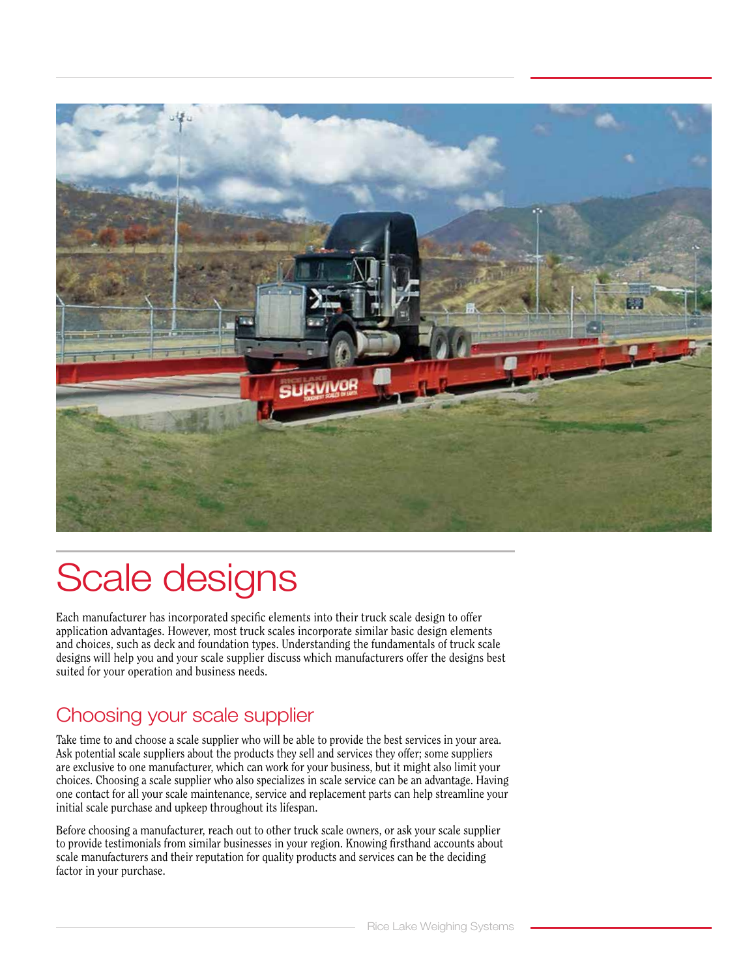

# Scale designs

Each manufacturer has incorporated specific elements into their truck scale design to offer application advantages. However, most truck scales incorporate similar basic design elements and choices, such as deck and foundation types. Understanding the fundamentals of truck scale designs will help you and your scale supplier discuss which manufacturers offer the designs best suited for your operation and business needs.

### Choosing your scale supplier

Take time to and choose a scale supplier who will be able to provide the best services in your area. Ask potential scale suppliers about the products they sell and services they offer; some suppliers are exclusive to one manufacturer, which can work for your business, but it might also limit your choices. Choosing a scale supplier who also specializes in scale service can be an advantage. Having one contact for all your scale maintenance, service and replacement parts can help streamline your initial scale purchase and upkeep throughout its lifespan.

Before choosing a manufacturer, reach out to other truck scale owners, or ask your scale supplier to provide testimonials from similar businesses in your region. Knowing firsthand accounts about scale manufacturers and their reputation for quality products and services can be the deciding factor in your purchase.